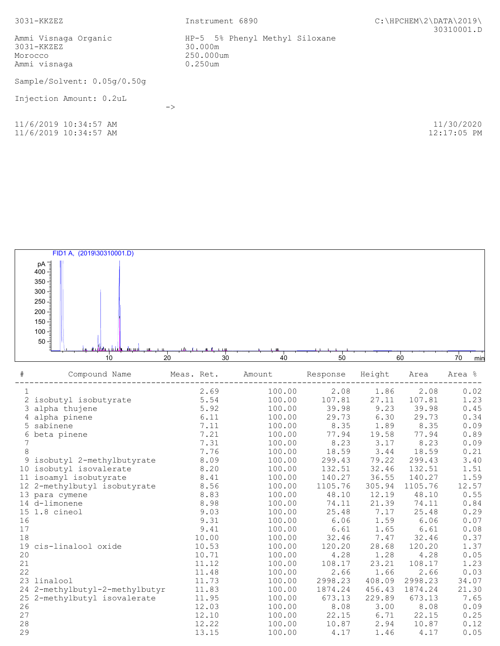| $3031 - KKZE$                                                     | Instrument 6890                                                   | C:\HPCHEM\2\DATA\2019\<br>30310001.D |  |  |
|-------------------------------------------------------------------|-------------------------------------------------------------------|--------------------------------------|--|--|
| Ammi Visnaga Organic<br>$3031 - KKZEZ$<br>Morocco<br>Ammi visnaga | HP-5 5% Phenyl Methyl Siloxane<br>30.000m<br>250.000um<br>0.250um |                                      |  |  |
| Sample/Solvent: 0.05q/0.50q                                       |                                                                   |                                      |  |  |
| Injection Amount: 0.2uL                                           | $\rightarrow$                                                     |                                      |  |  |
| 11/6/2019 10:34:57 AM<br>11/6/2019 10:34:57 AM                    |                                                                   | 11/30/2020<br>$12:17:05$ PM          |  |  |

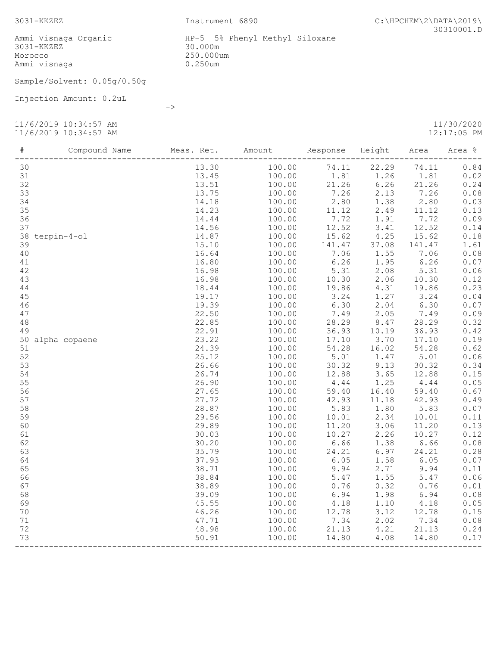Ammi Visnaga Organic HP-5 5% Phenyl Methyl Siloxane 3031-KKZEZ 30.000m Morocco 250.000um Ammi visnaga 0.250um

Sample/Solvent: 0.05g/0.50g

->

Injection Amount: 0.2uL

11/6/2019 10:34:57 AM 11/30/2020

11/6/2019 10:34:57 AM 12:17:05 PM

| $\#$ | Compound Name Meas. Ret. Amount Response Height Area |                                                                                                                                                                                                                                                                                   |                                                                                                                                                                            |                                  |                                 | Area % |
|------|------------------------------------------------------|-----------------------------------------------------------------------------------------------------------------------------------------------------------------------------------------------------------------------------------------------------------------------------------|----------------------------------------------------------------------------------------------------------------------------------------------------------------------------|----------------------------------|---------------------------------|--------|
|      |                                                      | 100.00 74.11 22.29 74.11                                                                                                                                                                                                                                                          |                                                                                                                                                                            |                                  |                                 | 0.84   |
|      |                                                      | $\begin{array}{cccccc} 13.30 & 100.00 & 1.81 & 1.26 & 1.81 \\ 13.45 & 100.00 & 1.81 & 1.26 & 1.81 \\ 13.51 & 100.00 & 21.26 & 6.26 & 21.26 \\ 13.75 & 100.00 & 7.26 & 2.13 & 7.26 \\ 14.18 & 100.00 & 2.80 & 1.38 & 2.80 \\ 14.23 & 100.00 & 11.12 & 2.49 & 11.12 \\ \end{array}$ |                                                                                                                                                                            |                                  |                                 | 0.02   |
|      |                                                      |                                                                                                                                                                                                                                                                                   |                                                                                                                                                                            |                                  |                                 | 0.24   |
|      |                                                      |                                                                                                                                                                                                                                                                                   |                                                                                                                                                                            |                                  |                                 | 0.08   |
|      |                                                      |                                                                                                                                                                                                                                                                                   |                                                                                                                                                                            |                                  |                                 | 0.03   |
|      |                                                      |                                                                                                                                                                                                                                                                                   |                                                                                                                                                                            |                                  |                                 | 0.13   |
|      |                                                      |                                                                                                                                                                                                                                                                                   |                                                                                                                                                                            |                                  |                                 | 0.09   |
|      |                                                      |                                                                                                                                                                                                                                                                                   |                                                                                                                                                                            |                                  |                                 | 0.14   |
|      |                                                      |                                                                                                                                                                                                                                                                                   | $100.00$ $11.12$ $2.13$ $1.91$ $7.72$<br>$100.00$ $12.52$ $3.41$ $12.52$<br>$100.00$ $15.62$ $4.25$ $15.62$                                                                |                                  |                                 | 0.18   |
|      |                                                      |                                                                                                                                                                                                                                                                                   |                                                                                                                                                                            |                                  |                                 | 1.61   |
|      |                                                      |                                                                                                                                                                                                                                                                                   |                                                                                                                                                                            |                                  |                                 | 0.08   |
|      |                                                      | $100.00$ $141.47$ $37.08$ $141.47$ $100.00$ $7.06$ $1.55$ $7.06$ $100.00$ $6.26$ $1.95$ $6.26$ $100.00$ $5.31$ $2.08$ $5.31$ $100.00$ $10.30$ $2.06$ $10.30$                                                                                                                      |                                                                                                                                                                            |                                  |                                 | 0.07   |
|      |                                                      |                                                                                                                                                                                                                                                                                   |                                                                                                                                                                            |                                  |                                 | 0.06   |
|      |                                                      |                                                                                                                                                                                                                                                                                   |                                                                                                                                                                            | $2.08$<br>$2.06$                 |                                 | 0.12   |
|      |                                                      |                                                                                                                                                                                                                                                                                   |                                                                                                                                                                            |                                  |                                 | 0.23   |
|      |                                                      |                                                                                                                                                                                                                                                                                   |                                                                                                                                                                            |                                  |                                 | 0.04   |
|      |                                                      | 100.00 19.86 4.31 19.86<br>100.00 3.24 1.27 3.24<br>100.00 6.30 2.04 6.30                                                                                                                                                                                                         |                                                                                                                                                                            |                                  |                                 | 0.07   |
|      |                                                      |                                                                                                                                                                                                                                                                                   |                                                                                                                                                                            |                                  |                                 | 0.09   |
|      |                                                      |                                                                                                                                                                                                                                                                                   | $\begin{array}{cccc} 100.00 & 7.49 & 2.05 \ 100.00 & 28.29 & 8.47 \ 100.00 & 36.93 & 10.19 \ 100.00 & 17.10 & 3.70 \ 100.00 & 54.28 & 16.02 \end{array}$                   |                                  | $7.49$<br>$28.29$               | 0.32   |
|      |                                                      |                                                                                                                                                                                                                                                                                   |                                                                                                                                                                            |                                  | 36.93                           | 0.42   |
|      |                                                      |                                                                                                                                                                                                                                                                                   |                                                                                                                                                                            |                                  | $17.10$<br>$54.28$              | 0.19   |
|      |                                                      |                                                                                                                                                                                                                                                                                   |                                                                                                                                                                            |                                  |                                 | 0.62   |
|      |                                                      |                                                                                                                                                                                                                                                                                   | 100.00 5.01 1.47 5.01<br>100.00 30.32 9.13 30.32<br>100.00 12.88 3.65 12.88                                                                                                |                                  |                                 | 0.06   |
|      |                                                      |                                                                                                                                                                                                                                                                                   |                                                                                                                                                                            |                                  |                                 | 0.34   |
|      |                                                      |                                                                                                                                                                                                                                                                                   |                                                                                                                                                                            |                                  |                                 | 0.15   |
|      |                                                      |                                                                                                                                                                                                                                                                                   |                                                                                                                                                                            |                                  | 4.44                            | 0.05   |
|      |                                                      |                                                                                                                                                                                                                                                                                   | 100.00   4.44   1.25<br>100.00   59.40   16.40                                                                                                                             |                                  | $4.44$<br>59.40                 | 0.67   |
|      |                                                      |                                                                                                                                                                                                                                                                                   | $100.00$ $42.93$ $11.18$<br>$100.00$ $5.83$ $1.80$<br>$100.00$ $10.01$ $2.34$                                                                                              |                                  | 42.93                           | 0.49   |
|      |                                                      |                                                                                                                                                                                                                                                                                   |                                                                                                                                                                            |                                  | 5.83                            | 0.07   |
|      |                                                      |                                                                                                                                                                                                                                                                                   |                                                                                                                                                                            |                                  | 10.01                           | 0.11   |
|      |                                                      |                                                                                                                                                                                                                                                                                   |                                                                                                                                                                            |                                  | 11.20                           | 0.13   |
|      |                                                      | 100.00<br>100.00                                                                                                                                                                                                                                                                  |                                                                                                                                                                            | $11.20$ $3.06$<br>$10.27$ $2.26$ | $11.20$<br>$10.27$              | 0.12   |
|      |                                                      |                                                                                                                                                                                                                                                                                   |                                                                                                                                                                            |                                  | 1.38 6.66                       | 0.08   |
|      |                                                      |                                                                                                                                                                                                                                                                                   |                                                                                                                                                                            |                                  |                                 | 0.28   |
|      |                                                      |                                                                                                                                                                                                                                                                                   |                                                                                                                                                                            |                                  | $6.97$ $24.21$<br>$1.58$ $6.05$ | 0.07   |
|      |                                                      |                                                                                                                                                                                                                                                                                   |                                                                                                                                                                            | 2.71                             |                                 | 0.11   |
|      |                                                      |                                                                                                                                                                                                                                                                                   |                                                                                                                                                                            | 1.55                             | $9.94$<br>$5.47$                | 0.06   |
|      |                                                      |                                                                                                                                                                                                                                                                                   |                                                                                                                                                                            |                                  | $0.32$ $0.76$                   | 0.01   |
|      |                                                      |                                                                                                                                                                                                                                                                                   |                                                                                                                                                                            | 1.98                             | 6.94                            | 0.08   |
|      |                                                      |                                                                                                                                                                                                                                                                                   | $100.00$ $10.27$<br>$100.00$ $6.66$<br>$100.00$ $24.21$<br>$100.00$ $6.05$<br>$100.00$ $9.94$<br>$100.00$ $5.47$<br>$100.00$ $6.94$<br>$100.00$ $4.18$<br>$100.00$ $12.78$ |                                  | $1.98$ $6.94$<br>$1.10$ $4.18$  | 0.05   |
|      |                                                      |                                                                                                                                                                                                                                                                                   |                                                                                                                                                                            | 3.12                             |                                 | 0.15   |
|      |                                                      | $100.00$ $12.78$<br>$100.00$ $7.34$<br>$100.00$ $21.13$                                                                                                                                                                                                                           |                                                                                                                                                                            | 2.02                             | $12.78$<br>7.34                 | 0.08   |
|      |                                                      |                                                                                                                                                                                                                                                                                   |                                                                                                                                                                            | 4.21                             | 21.13                           | 0.24   |
|      |                                                      | 100.00                                                                                                                                                                                                                                                                            | 14.80                                                                                                                                                                      | 4.08                             | 14.80                           | 0.17   |

------------------------------------------------------------------------------------------------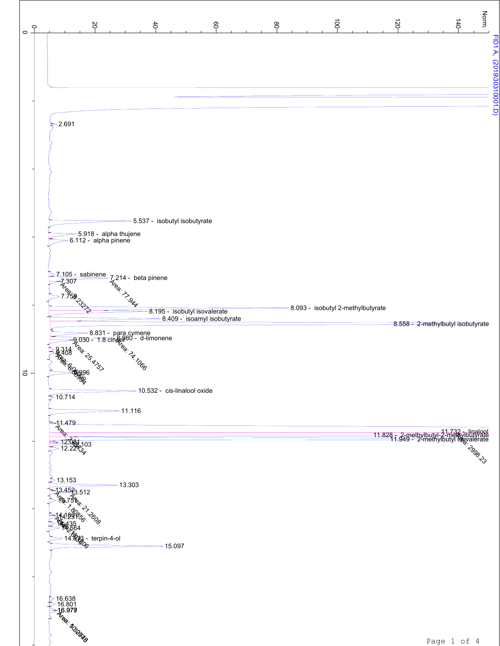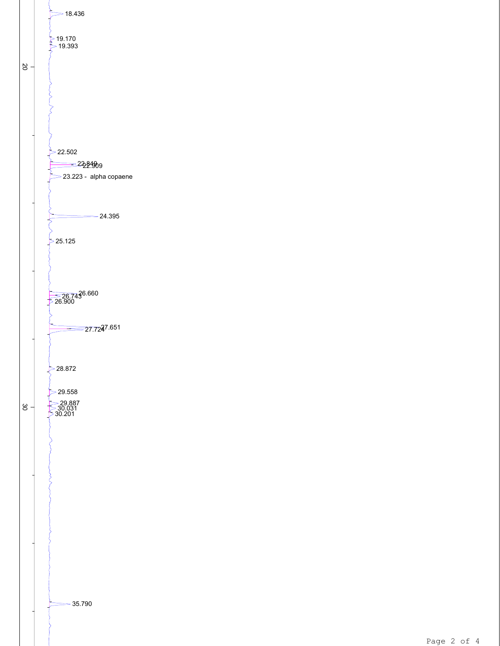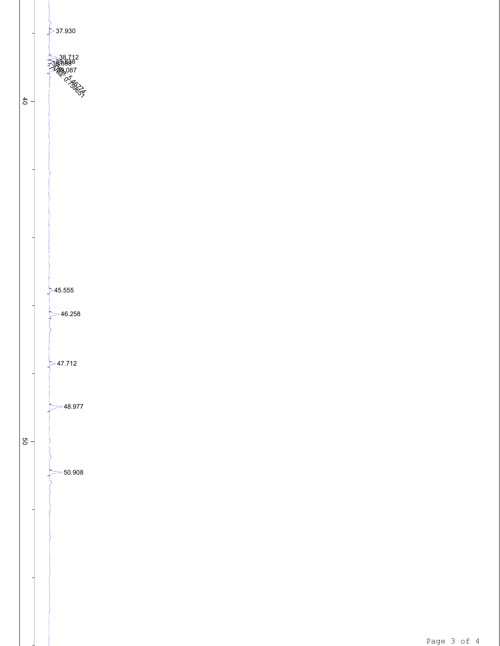